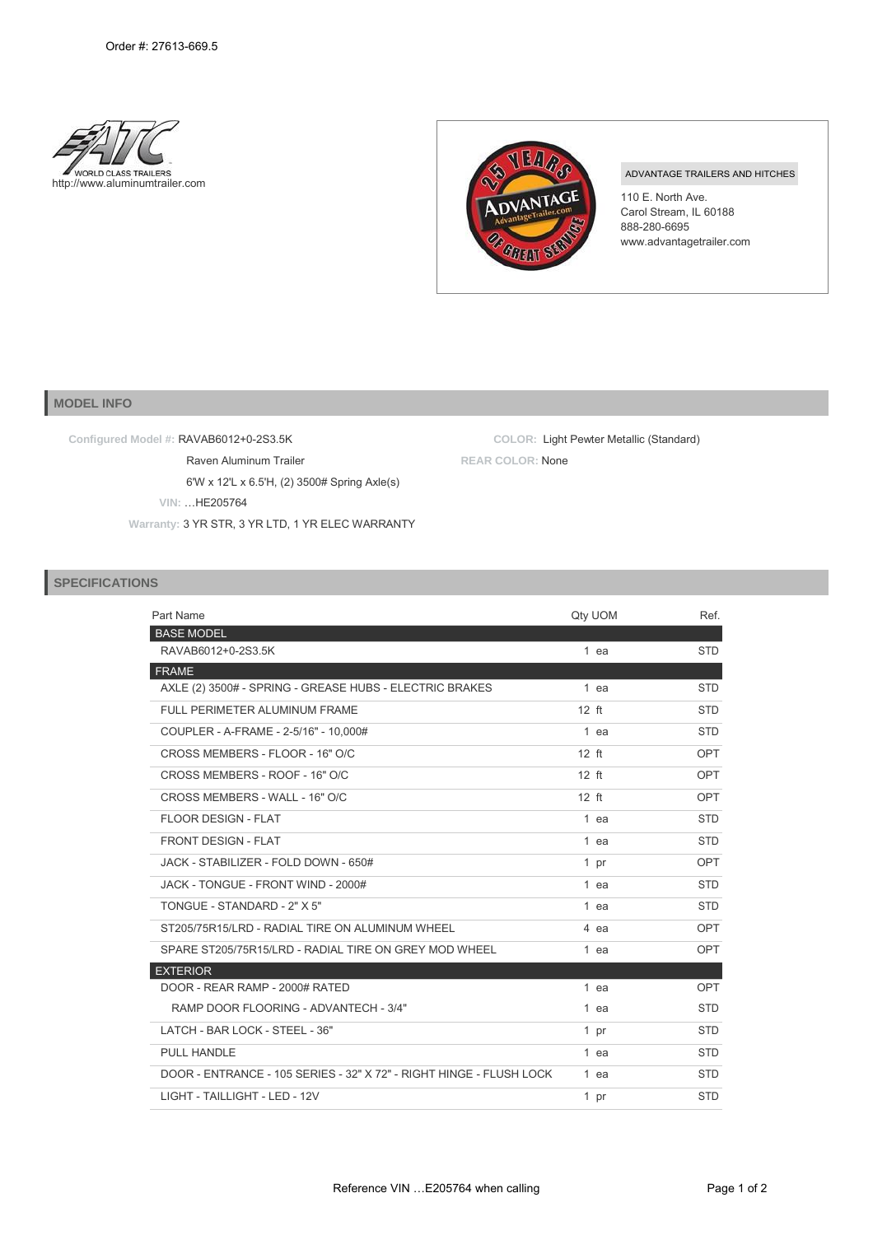



## ADVANTAGE TRAILERS AND HITCHES

110 E. North Ave. Carol Stream, IL 60188 888-280-6695 [www.advantagetrailer.com](http://www.advantagetrailer.com/)

## **MODEL INFO**

**Configured Model #:** RAVAB6012+0-2S3.5K

Raven Aluminum Trailer 6'W x 12'L x 6.5'H, (2) 3500# Spring Axle(s) **VIN:** …HE205764

**Warranty:** 3 YR STR, 3 YR LTD, 1 YR ELEC WARRANTY

**COLOR:** Light Pewter Metallic (Standard) **REAR COLOR:** None

## **SPECIFICATIONS**

| Part Name                                                           | Qty UOM | Ref.       |
|---------------------------------------------------------------------|---------|------------|
| <b>BASE MODEL</b>                                                   |         |            |
| RAVAB6012+0-2S3.5K                                                  | 1 ea    | <b>STD</b> |
| <b>FRAME</b>                                                        |         |            |
| AXLE (2) 3500# - SPRING - GREASE HUBS - ELECTRIC BRAKES             | 1 ea    | <b>STD</b> |
| FULL PERIMETER ALUMINUM FRAME                                       | $12$ ft | <b>STD</b> |
| COUPLER - A-FRAME - 2-5/16" - 10.000#                               | 1 ea    | <b>STD</b> |
| CROSS MEMBERS - FLOOR - 16" O/C                                     | $12$ ft | OPT        |
| CROSS MEMBERS - ROOF - 16" O/C                                      | $12$ ft | OPT        |
| CROSS MEMBERS - WALL - 16" O/C                                      | $12$ ft | OPT        |
| FLOOR DESIGN - FLAT                                                 | 1 ea    | <b>STD</b> |
| <b>FRONT DESIGN - FLAT</b>                                          | 1 ea    | <b>STD</b> |
| JACK - STABILIZER - FOLD DOWN - 650#                                | 1 pr    | OPT        |
| JACK - TONGUE - FRONT WIND - 2000#                                  | $1$ ea  | <b>STD</b> |
| TONGUE - STANDARD - 2" X 5"                                         | 1 ea    | <b>STD</b> |
| ST205/75R15/LRD - RADIAL TIRE ON ALUMINUM WHEEL                     | 4 ea    | OPT        |
| SPARE ST205/75R15/LRD - RADIAL TIRE ON GREY MOD WHEEL               | 1 ea    | <b>OPT</b> |
| <b>EXTERIOR</b>                                                     |         |            |
| DOOR - REAR RAMP - 2000# RATED                                      | 1 ea    | <b>OPT</b> |
| RAMP DOOR FLOORING - ADVANTECH - 3/4"                               | $1$ ea  | <b>STD</b> |
| LATCH - BAR LOCK - STEEL - 36"                                      | 1 pr    | <b>STD</b> |
| <b>PULL HANDLE</b>                                                  | 1 ea    | <b>STD</b> |
| DOOR - ENTRANCE - 105 SERIES - 32" X 72" - RIGHT HINGE - FLUSH LOCK | 1 ea    | <b>STD</b> |
| LIGHT - TAILLIGHT - LED - 12V                                       | 1 pr    | <b>STD</b> |